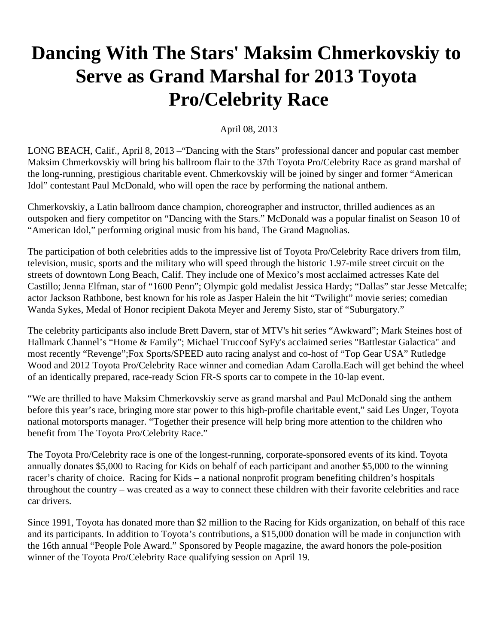## **Dancing With The Stars' Maksim Chmerkovskiy to Serve as Grand Marshal for 2013 Toyota Pro/Celebrity Race**

## April 08, 2013

LONG BEACH, Calif., April 8, 2013 –"Dancing with the Stars" professional dancer and popular cast member Maksim Chmerkovskiy will bring his ballroom flair to the 37th Toyota Pro/Celebrity Race as grand marshal of the long-running, prestigious charitable event. Chmerkovskiy will be joined by singer and former "American Idol" contestant Paul McDonald, who will open the race by performing the national anthem.

Chmerkovskiy, a Latin ballroom dance champion, choreographer and instructor, thrilled audiences as an outspoken and fiery competitor on "Dancing with the Stars." McDonald was a popular finalist on Season 10 of "American Idol," performing original music from his band, The Grand Magnolias.

The participation of both celebrities adds to the impressive list of Toyota Pro/Celebrity Race drivers from film, television, music, sports and the military who will speed through the historic 1.97-mile street circuit on the streets of downtown Long Beach, Calif. They include one of Mexico's most acclaimed actresses Kate del Castillo; Jenna Elfman, star of "1600 Penn"; Olympic gold medalist Jessica Hardy; "Dallas" star Jesse Metcalfe; actor Jackson Rathbone, best known for his role as Jasper Halein the hit "Twilight" movie series; comedian Wanda Sykes, Medal of Honor recipient Dakota Meyer and Jeremy Sisto, star of "Suburgatory."

The celebrity participants also include Brett Davern, star of MTV's hit series "Awkward"; Mark Steines host of Hallmark Channel's "Home & Family"; Michael Truccoof SyFy's acclaimed series "Battlestar Galactica" and most recently "Revenge";Fox Sports/SPEED auto racing analyst and co-host of "Top Gear USA" Rutledge Wood and 2012 Toyota Pro/Celebrity Race winner and comedian Adam Carolla.Each will get behind the wheel of an identically prepared, race-ready Scion FR-S sports car to compete in the 10-lap event.

"We are thrilled to have Maksim Chmerkovskiy serve as grand marshal and Paul McDonald sing the anthem before this year's race, bringing more star power to this high-profile charitable event," said Les Unger, Toyota national motorsports manager. "Together their presence will help bring more attention to the children who benefit from The Toyota Pro/Celebrity Race."

The Toyota Pro/Celebrity race is one of the longest-running, corporate-sponsored events of its kind. Toyota annually donates \$5,000 to Racing for Kids on behalf of each participant and another \$5,000 to the winning racer's charity of choice. Racing for Kids – a national nonprofit program benefiting children's hospitals throughout the country – was created as a way to connect these children with their favorite celebrities and race car drivers.

Since 1991, Toyota has donated more than \$2 million to the Racing for Kids organization, on behalf of this race and its participants. In addition to Toyota's contributions, a \$15,000 donation will be made in conjunction with the 16th annual "People Pole Award." Sponsored by People magazine, the award honors the pole-position winner of the Toyota Pro/Celebrity Race qualifying session on April 19.